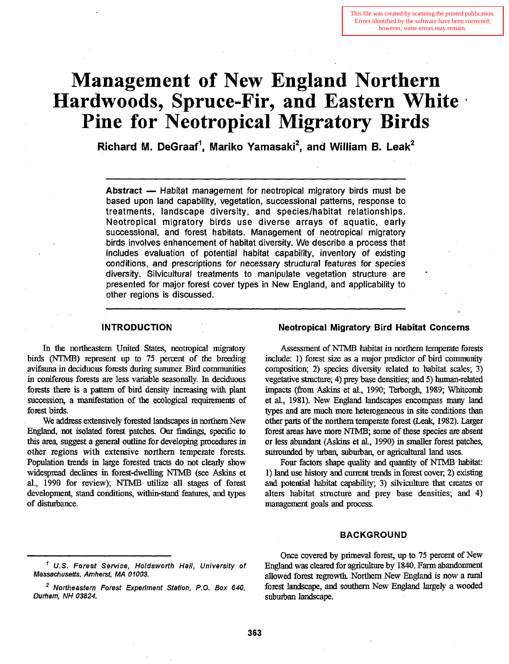# **Management of New England Northern Hardwoods, Spruce-Fir, and Eastern White Pine for Neotropical Migratory Birds**

**Richard M. DeGraaf<sup>1</sup>, Mariko Yamasaki<sup>2</sup>, and William B. Leak<sup>2</sup>** 

- - - - - - - - - - - - - - - - - -

Abstract - Habitat management for neotropical migratory birds must be based upon land capability, vegetation, successional patterns, response to treatments, landscape diversity, and species/habitat relationships. Neotropical migratory birds use diverse arrays of aquatic, early successional, and forest habitats. Management of neotropical migratory birds involves enhancement of habitat diversity. We describe a process that includes evaluation of potential habitat capability, inventory of existing conditions, and prescriptions for necessary structural features for species diversity. Silvicultural treatments to manipulate vegetation structure are presented for major forest cover types in New England, and applicability to other regions is discussed.

In the northeastern United States, neotropical migratory **birds** (NTMB) represent up to 75 **percent** of the breeding avifauna in deciduous forests during summer Bird **communities**  in coniferous forests **are** less variable seasonally. In deciduous forests there is a pattern of bird density increasing with plant succession, a manifestation of the ecological requirements of forest birds.

We address extensively forested landscapes in northern New England, not isolated forest patches. **Our** findings, specific to this area, suggest a general outline for developing procedures in other regions with extensive northern temperate forests. Population **trends** in large forested **tracts** do not clearly show widespread declines in forest-dwelling NTMB (see **Askins** et al., 1990 for review); **NTME** utilize all stages of forest development, stand conditions, within-stand features, and types of disturbance.

#### INTRODUCTION **Neotropical Migratory Bird Habitat Concerns**

Assessment of **NTh/lB** habitat in northern **temperate** forests include: 1) forest size as a major predictor of bird community composition; **2)** species diversity related to habitaf scales; 3) vegetative structure; 4) prey base densities; and 5) human-related impacts (from **Askins** et al., 1990; Terborgh, 1989; Whitcomb et **al.,** 1981). New England landscapes encompass many land types and are much more heterogeneous in site conditions than other **parts** of the northern temperate forest **(Leak,** 1982). Larger forest **areas** have more **NTMB; some** of **these** species are absent or less **abundant (Askins** et **al.,** 1990) in smaller forest patches, surrounded by urban, suburban, or agricultural land uses.

Four factors shape **quality** and quantity of NTMB habitat: 1) land use history and current trends in forest cover, 2) existing **and** potential habitat capability; **3)** silviculture that creates or alters habitat structure and prey base densities; and 4) management goals and process.

# BACKGROUND

Once covered by primeval forest, up to 75 percent of New **U.S. Foresf Service, Holdsworth Hall, University of** England **was** cleared for agriculture by 1840. Farm abandonment allowed forest regrowth. Northern New England is now a rural <sup>2</sup> Northeastern Forest Experiment Station, P.O. Box 640, forest landscape, and southern New England largely a wooded

Durham, **NH** 03824. .suburban landscape.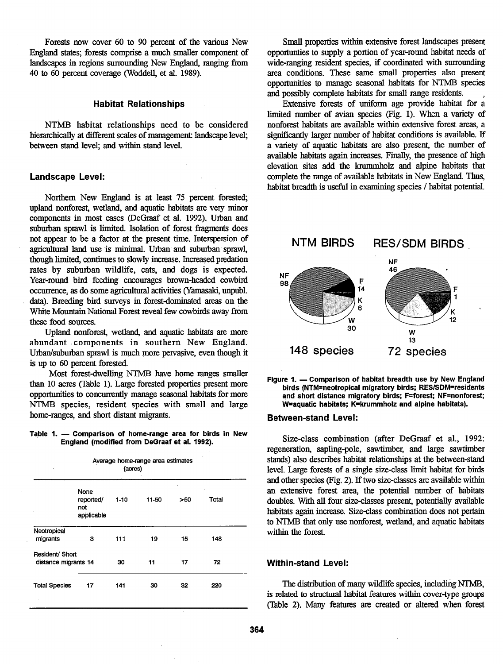Forests now cover 60 to 90 percent of the various New England states; forests comprise a much smaller component of landscapes in regions surrounding New England, ranging from 40 to 60 percent coverage (Woddell, et al. 1989).

#### **Habitat Relationships**

NTMB habitat relationships need to be considered hierarchically at different scales of management: landscape level; between stand level; and within stand level.

#### **Landscape Level:**

Northern New England is at least 75 percent forested; upland nonforest, wetland, and aquatic habitats **are** very minor components in most cases (DeGraaf et al. 1992). Urban and suburban sprawl is limited. Isolation of forest **fragments** does not appear to be a factor at the present time. Interspersion of agricultural land use is minimal. Urban and suburban sprawl, though limited, continues to slowly increase. Increased predation rates by suburban wildlife, cats, and dogs is expected. Year-round bird feeding encourages brown-headed cowbird **NF** occurrence, **as** do some agricultural activities **(Yamasaki,** unpubl. **14**  data). Breeding bird surveys in forest-dominated areas on the **K A R K K K** White Mountain National Forest reveal few cowbirds away from these food sources these food sources.

Upland nonforest, wetland, and aquatic habitats are more abundant components in southern New England. Urban/suburban sprawl is much more pervasive, even though it is up to 60 percent forested.

Most forest-dwelling NTMB have home ranges smaller than 10 acres (Table 1). Large forested properties present more opportunities to concurrently manage seasonal habitats for more NTMB species, resident species with small and large home-ranges, and short distant migrants.

#### Table 1. - Comparison of home-range area for birds in New **England (modified from DeGraaf et al. 1992).**

| Average home-range area estimates<br>(acres)<br>٠ |                                        |        |       |     |       |  |  |
|---------------------------------------------------|----------------------------------------|--------|-------|-----|-------|--|--|
|                                                   | None<br>reported/<br>not<br>applicable | $1-10$ | 11-50 | >50 | Total |  |  |
| Neotropical<br>migrants                           | з                                      | 111    | 19    | 15  | 148   |  |  |
| Resident/ Short<br>distance migrants 14           |                                        | 30     | 11    | 17  | 72    |  |  |
| <b>Total Species</b>                              | 17                                     | 141    | 30    | 32  | 220   |  |  |

Small properties within extensive forest landscapes present opportunties to supply a portion of year-round habitat needs of wide-ranging resident species, if coordinated with surrounding area conditions. These same small properties also present oppomnities to manage seasonal habitats for **NTMB** species and possibly complete habitats for small range residents.

Extensive forests of uniform age provide habitat for a **limited** number of avian species (Fig. 1). When a variety of nonforest habitats **are** available within extensive forest areas, a significantly larger number of habitat conditions is available. If a variety of aquatic habitats **are** also present, the number of available habitats again increases. Finally, the presence of high elevation sites add the krummholz and alpine habitats that complete the range of available habitats in New England. Thus, habitat breadth is useful in examining species / habitat potential.



Figure 1. - Comparison of habitat breadth use by New England birds (NTM=neotropical migratory birds; RES/SDM=residents and short distance migratory birds; F=forest; NF=nonforest; **Wzaquatic habitats; K=krummholz and alpine habitats).** 

#### **Between-stand Level:**

Size-class combination (after DeGraaf et al., 1992: regeneration, sapling-pole, sawtimber, and large sawtimber stands) also describes habitat relationships at the between-stand level. Large forests of a single size-class limit habitat for birds and other species (Fig. 2). If two size-classes are available within an extensive forest area, the potential number of habitats doubles. With all four size-classes present, potentially available habitats again increase. Size-class combination does not pertain to NTMB that only use nonforest, wetland, and aquatic habitats within the forest.

#### **Within-stand Level:**

The distribution of many wildlife species, including NTMB, is related to structural habitat features within cover-type groups (Table 2). Many features **are** created or altered when forest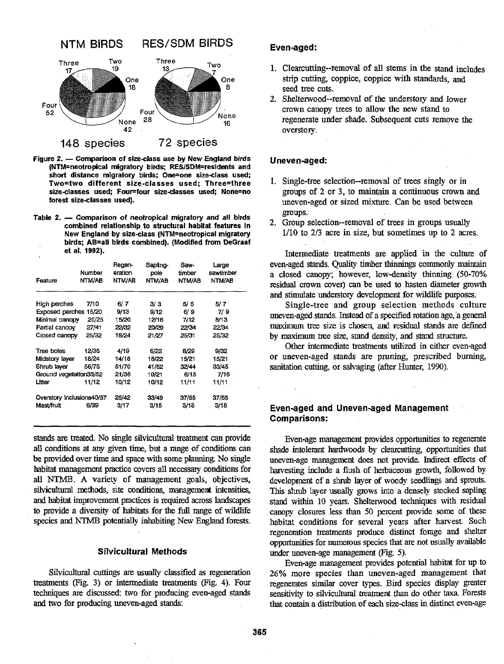

- **Figure 2. Comparison of size-class use by New England birds (NTM=neotropical migratory birds; RESISDM=residents and**  short distance migratory birds; One=one size-class used; **Two=two different size-classes used; Three=three sizeclasses used; Fou~four sizeclasses used; None=no forest sizeclasses used).**
- Table 2. Comparison of neotropical migratory and all birds **combined relationship to structural habitat features in New England by size-class (NTM=neotropical migratory birds; AB=all birds combined). (Modified from DeGraaf et al. 1992).**

| Feature                   | Number<br>NTM/AB | Regen-<br>eration<br>NTM/AB | Sapling-<br>pole<br>NTM/AB | Saw-<br>timber<br>NTM/AB | Large<br>sawtimber<br>NTM/AB |
|---------------------------|------------------|-----------------------------|----------------------------|--------------------------|------------------------------|
| High perches              | 7/10             | 6/ 7                        | 3/3                        | 5/ 6                     | 5/7                          |
| <b>Exposed perches</b>    | 15/20            | 9/13                        | 9/12                       | 6/9                      | 7/9                          |
| Minimal canopy            | 20/25            | 15/20                       | 12/16                      | 7/12                     | 8/13                         |
| Partial canopy            | 27/41            | 22/32                       | 20/29                      | 22/34                    | 22/34                        |
| Closed canopy             | 25/32            | 18/24                       | 21/27                      | 25/31                    | 25/32                        |
| Tree boles                | 12/35            | 4/19                        | 6/22                       | 8/29                     | 9/32                         |
| Midstory layer            | 18/24            | 14/18                       | 16/22                      | 15/21                    | 15/21                        |
| Shrub laver               | 56/75            | 51/70                       | 41/52                      | 32/44                    | 33/45                        |
| Ground vegetation33/52    |                  | 21/36                       | 10/21                      | 6/15                     | 7/16                         |
| Litter                    | 11/12            | 10/12                       | 10/12                      | 11/11                    | 11/11                        |
| Overstory inclusions40/57 |                  | 26/42                       | 33/49                      | 37/55                    | 37/55                        |
| Mast/fruit                | 6/39             | 3/17                        | 3/15                       | 3/18                     | 3/18                         |

stands **are treated.** No single silvicultuml treatment can provide all conditions **at** any given time, but a mge of conditions **can**  be provided over time and space with some planning. No single habitat management practice covers **all** necessary conditions for **all** NTMB. A variety of management goals, objectives, silvicultural methods, site conditions, management intensities, and habitat improvement practices is required across landscapes to provide a divexsity of habitats for the full range of wildlife species and NTMB potentially inhabiting New England forests.

#### **Silvicultural Methods**

Silvicultural cuttings are usually classified as regeneration treatments (Fig. 3) or intermediate treatments (Fig. 4). Four techniques **are** discussed: **two** for producing even-aged stands **and** two for producing uneven-aged stands:

# Even-aged:

- Clearcutting--removal of all Stems in the stand includes strip cutting, coppice, coppice with standards, **and**  seed tree cuts.
- 2. Shelterwood--removal of the understory and lower crown canopy trees to allow the new stand to regenerate under shade. Subsequent cuts remove the overstory.

# Uneven-aged:

- 1. Single-tree selection--removal of trees singly or in groups of 2 or 3, to maintain a continuous crown and uneven-aged or sized mixture. Can be used between groups.
- **2.** Group selection--removal of trees in groups usually 1/10 to 2/3 acre in size, but sometimes up to **2** acres.

Intermediate treatments are applied in the culture of even-aged stands. Quality timber thinnings commonly maintain a closed canopy; however, low-density thinning (50-70% residual crown cover) can be used to hasten diameter growth and stimulate understory development for wildlife purposes.

Single-tree and group selection methods culture uneven-aged **stands.** Instead of a specified rotation age,'a general xmxhmm tree size is chosen, **and** residual stands **are** defined by maximum tree size, stand density, and stand structure.

Other intermediate treatments **utilized** in either even-aged or uneven-aged stands are pmning, prescribed burning, sanitation cutting, or salvaging (after Hunter, 1990).

# **Even-aged and Uneven-aged Management Comparisons:**

Even-age management provides opportunities to regenerate shade intolerant **hardwoods** by clearcutting, opportunities that uneven-age management does not provide. **Indirect** effects of harvesting include a flush of heibaceous growth, followed by development of a shrub layer of woody seedlings and sprouts. This shrub layer **usually** grows into a densely stocked sapling stand within 10 years. Shelterwood techniques with residual canopy closures less than 50 percent provide some of **these**  habitat conditions for several years after harvest. Such regeneration treatments produce distinct forage and shelter opportunities for **numerous** species that **are** not **usually** available under uneven-age management **(Fig.** 5).

Even-age management provides **potential** habitat for up to 26% more species than uneven-aged management that regenerates similar cover types. Bird species display greater sensitivity to silviculturaI treatment than do other **taxa** Forests that contain a distribution of each size-class in distinct even-age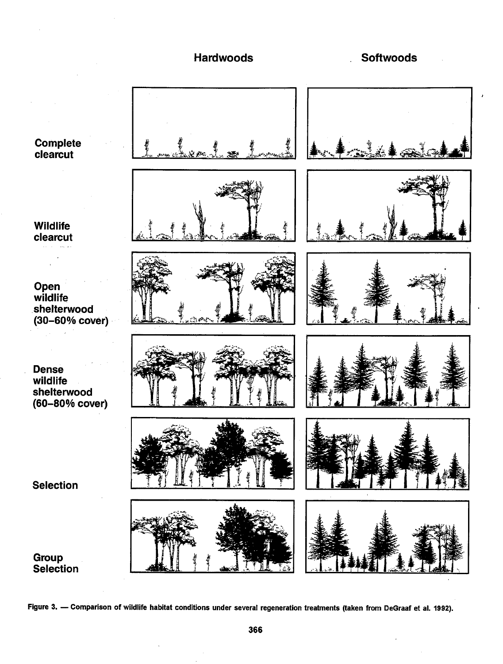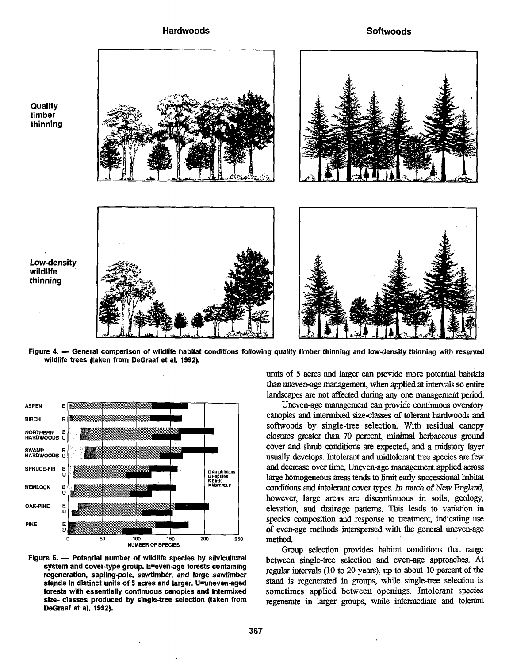

Low-density wildlife thinning

**Quality** timber thinning

Figure 4. - General comparison of wildlife habitat conditions following quality timber thinning and low-density thinning with reserved wildlife trees (taken from DeGraaf et al. 1992).



system and cover-type group. E=even-age forests containing regeneration, sapling-pole, sawtimber, and large sawtimber stands in distinct units of 5 acres and larger. U=uneven-aged forests with essentially continuous canopies and intermixed size- classes produced by single-tree selection (taken from DeGraaf et **al.** 1992).

**units** of 5 acres and larger can provide more potential habitats *than* uneven-age management, when applied **at** intervals so entire landscapes **are** not affected during *any* one management period.

Uneven-age management can provide continuous overstory canopies and intermixed size-classes of tolerant hardwoods and softwoods by single-tree selection. With residual canopy closures greater *than* 70 percent, minimal hehaceous **ground**  cover **and** shrub conditions are expected, and a midstory layer usually develops. Intolerant and midtolerant tree species **are** few and decrease over time. Uneven-age management applied across large homogeneous **mas** tends to limit early successional habitat conditions and intolerant cover **types. In much** of New **England,**  however, large areas are discontinuous in soils, geology, elevation, and drainage patterns. This leads to variation in species composition and response to treatment, indicating use of even-age methods interspened with **the** general uneven-age method.

Group selection provides habitat conditions that range between single-tree selection and even-age approaches. At regular intervals (10 to 20 years), up to about 10 percent of the stand is regenerated in groups, while single-tree selection is sometimes applied between openings. Intolerant species regenerate in larger **groups,** while intermediate and tolemnt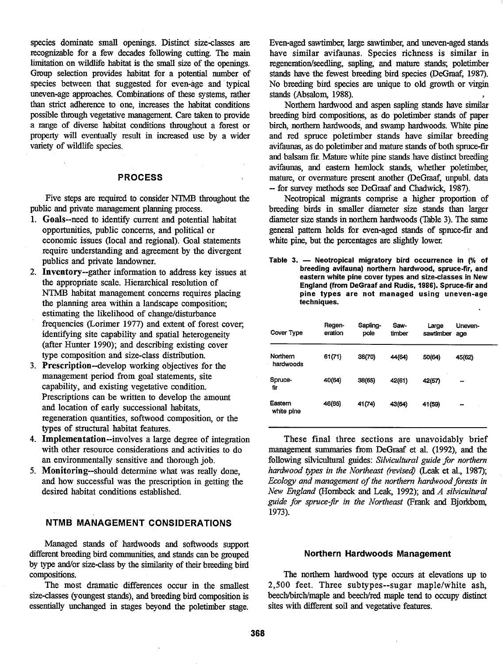species dominate small openings. Distinct size-classes are recognizable for a few decades following cutting. The main limitation on wildlife habitat is the small size of the openings. Group selection provides habitat for a potential number of species between that suggested for even-age and typical uneven-age approaches. Combinations of these systems, rather than strict adherence to one, increases the habitat conditions possible through vegetative management. Care taken to provide a range of diverse habitat conditions throughout a forest or property will eventually result in increased use by a wider variety of wildlife species.

# **PROCESS**

Five steps are required to consider **NTMB** throughout the public and private management planning process.

- 1. Goals--need to identify current and potential habitat opportunities, public concerns, and political or economic issues (local and regional). Goal statements require understanding and agreement by the divergent publics and private landowner.
- 2. Inventory--gather information to address key issues at the appropriate scale. Hierarchical resolution of NTMB habitat management concerns requires placing the planning area within a landscape composition; estimating the likelihood of change/disturbance frequencies (Lorimer 1977) and extent of forest cover, identifying site capability and spatial heterogeneity (after Hunter 1990); and describing existing cover type composition and size-class distribution.
- 3. Prescription--develop working objectives for the management period from goal statements, site capability, and existing vegetative condition Prescriptions can be written to develop the amount and location of early successional habitats, regeneration quantities, softwood composition, or the types of structural habitat features.
- 4. Implementation--involves a large degree of integration with other resource considerations and activities to do an environmentally sensitive and thorough job.
- 5. Monitoring--should determine what was really done, and how successful was the prescription in getting the desired habitat conditions established.

#### **NTMB MANAGEMENT CONSIDERATIONS**

Managed stands of hardwoods and softwoods support different breeding bird communities, and stands can be grouped **Northern Hardwoods Management**  by type and/or size-class by the similarity of their breeding bird compositions.

essentially unchanged in stages beyond the poletimber stage.

Even-aged sawtimber, large sawtimber, and uneven-aged stands have similar avifaunas. Species richness is similar in regeneration/seedling, sapling, and mature stands; poletimber stands have the fewest breeding bird species (DeGraaf, 1987). No breeding bird species **are** unique to old growth or virgin stands (Absalom, 1988).

Northern hardwood and aspen sapling stands have similar breeding bird compositions, as do poletimber stands of paper birch, northern hardwoods; and swamp hardwoods. White pine and red spruce poletimber stands have similar breeding avifaunas, as do poletimber and mature stands of both spruce-fir and balsam fir. Mature white pine stands have distinct breeding avifaunas, and eastern hemlock stands, whether poletimber, mature, or overmature present another (DeGraaf, unpubl. data -- for survey methods see DeGraaf and Chadwick, 1987).

Neotropical migrants comprise a higher proportion of breeding birds in smaller diameter size stands than larger diameter size stands in northern hardwoods (Table 3). The same geneml pattern holds for even-aged stands of spruce-fir and white pine, but the percentages are slightly lower.

Table 3. - Neotropical migratory bird occurrence in  $%$  of **breeding avifauna) northern hardwood, spruce-fir, and eastern white pine cover types and size-classes in New England (from DeGraaf and Rudis, 1986). Spruce-fir and pine types are not managed using uneven-age techniques.** 

| Cover Type            | Regen-<br>eration | Sapling-<br>pole | Saw-<br>timber | Large<br>sawtimber | Uneven-<br>age |
|-----------------------|-------------------|------------------|----------------|--------------------|----------------|
| Northern<br>hardwoods | 61(71)            | 38(70)           | 44(64)         | 50(64)             | 45(62)         |
| Spruce-<br>fir        | 40(64)            | 38(65)           | 42(61)         | 42(57)             |                |
| Eastern<br>white pine | 46(65)            | 41(74)           | 43(64)         | 41(59)             | $\sim$         |

These final three sections are unavoidably brief management summaries from DeGraaf et al. (1992), and the following silvicultuml guides: *Silvicultural guide for northern*  hardwood types in the Northeast (revised) (Leak et al., 1987); *Ecology and management of the northern hardwood forests in Nm England* (Hornbeck and Leak, 1992); *and* A *silvicultural guide for spruce-jir in the Northeast* **prank** *and* Bjorkbom, 1973).

positions.<br>The northern hardwood type occurs at elevations up to<br>The most dramatic differences occur in the smallest 2,500 feet. Three subtypes--sugar maple/white ash, 2,500 feet. Three subtypes--sugar maple/white ash, size-classes (youngest stands), and breeding bird composition is beech/birch/maple and beech/red maple tend to occupy distinct essentially unchanged in stages beyond the poletimber stage. Sites with different soil and vege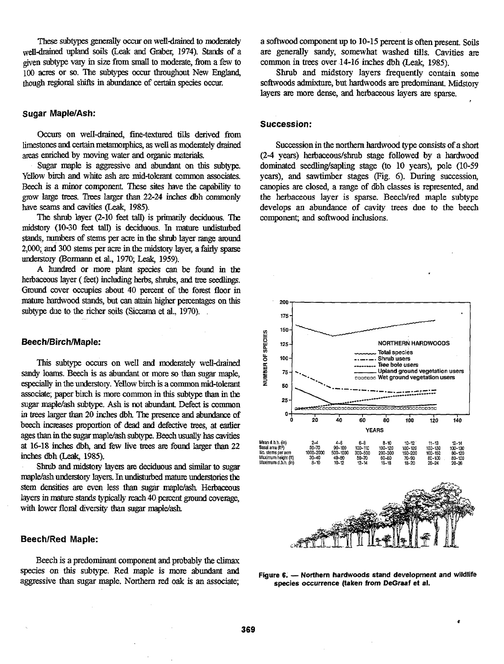These subtypes generally occur on well-drained to moderately well-drained upland soils (Leak and Graber, 1974). Stands of a given subtype vary in size fmm small to moderate, **hm** a few to 100 acres or so. The subtypes occur throughout New England, though regional shifts in abundance of certain species occur.

# **Sugar Maple/Ash:**

Occurs on well-drained, fine-textured tills derived from limestones and certain metamorphics, as well as moderately drained areas enriched by moving water and organic materials.

**Sugar** maple is aggressive and **abundant** on this subtype. Yellow birch and white ash **are** mid-tolerant common associates. Beech is a minor component. These sites have the capability to **gmw** large trees. Trees larger lhan 22-24 **inches** dbh commonly have seams and cavities (Leak, 1985).

The **shrub** layer (2-10 feet tau) is primarily deciduous. The midstory (10-30 feet tall) is deciduous. In mature undisturbed stands, numbers of **stems** per acre in **the** shrub layer range *mund*  2,000; and 300 stems per acre in the midstory layer, a fairly sparse understory (Bormann et al., 1970; Leak, 1959).

A **hundred** or more **plant** species can be found in **the**  herbaceous layer (feet) including herbs, shrubs, and tree seedlings. Ground cover occupies about 40 percent of the forest floor in mature hardwood stands, but can attain higher percentages on this subtype due to the richer soils (Siccama et al., 1970).

#### **Beech/Birch/Maple:**

This subtype occurs on well and **moderately** well-drained **sandy** loams. Beech **is** as **abundant** or more so than sugar maple, especially in the undemy. Yellow birch is **a** common mid-tolerarrt associate; paper birch is more common in this subtype than in the **sugar** maplelash subtype. **Ash** is not abundant Defect is common in trees larger than 20 inches dbh. The presence and abundance of beech increases proportion of dead and defective trees, at earlier ages than in the **sugar** maple/ash subtype. Beech **usually** has cavities at 16-18 inches **dbh,** and few live trees **are** found larger **than** 22 inches dbh (Leak, 1985).

Shrub and midstory layers are deciduous and similar to sugar maple/ash understory layers. In undisturbed mature understories the stem densities are even less than sugar maple/ash. Herbaceous layers in mature stands typically reach 40 percent ground coverage, with lower floral diversity than sugar maple/ash.

#### **BeechlRed Maple:**

Beech is a predominant component and probably the climax species on this subtype. Red **maple** is more abundant and aggressive than sugar maple. Northern red oak is an associate; a softwood component up to 10-15 percent is often present. Soils are generally sandy, somewhat washed tills. Cavities are common in trees over 14-16 inches dbh (Leak, 1985).

Shrub and midstory layers frequently contain some softwoods admixture, but hardwoods are predominant. Midstory layers **are** more dense, and herbaceous layers **are** sparse.

#### **Succession:**

Succession in the northern hardwood type consists of a short  $(2-4 \text{ years})$  herbaceous/shrub stage followed by a hardwood dominated seedling/sapling stage (to 10 years), pole (10-59 years), and sawtimber stages (Fig. 6). During succession, canopies are closed, a range of dbh classes is represented, and the herbaceous layer is sparse. Beech/red maple subtype develops an abundance of **cavity** trees due to the beech component; and softwood inclusions.



Figure 6. - Northern hardwoods stand development and wildlife **species occurrence (taken from DeGraaf et al.**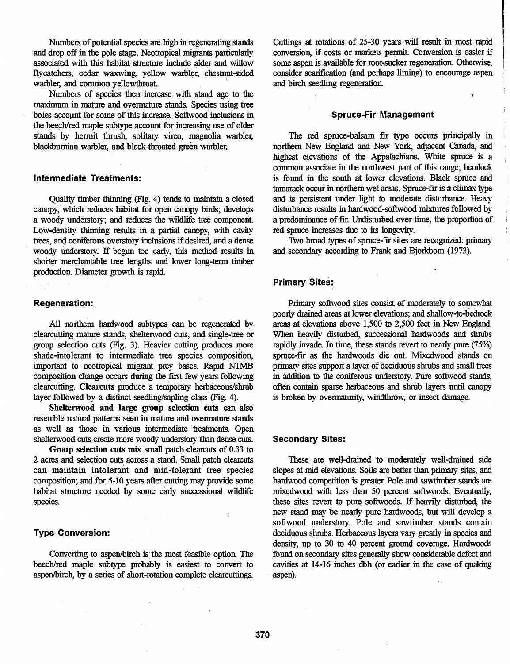Numbers of potential species are high in regenerating stands and drop off in the pole stage. Neotropical migrants particularly associated with this habitat structure include alder and willow flycatchers, cedar waxwing, yellow warbler, chestnut-sided warbler, and common yellowthroat.

Numbers of species then increase with stand age to the maximum in mature and overmature stands. Species using tree boles account for some of this increase. Softwood inclusions in the beech/red maple subtype account for increasing use of older stands by hermit **thrush,** solitary vireo, magnolia warbler, blackburnian warbler, and black-throated green warbler.

#### **Intermediate Treatments:**

Quality timber thinning (Fig. 4) tends to maintain a closed canopy, which reduces habitat for open canopy birds, develops a woody understory; and reduces **the** wildlife tree component. Low-density thinning results in a partial canopy, with cavity trees, and coniferous overstory inclusions if desired, and a dense woody understory. If begun too early, this method results in shorter merchantable tree lengths and lower long-term timber production. Diameter growth is rapid.

# **Regeneration:**

**All** northern hardwood subtypes can be regenerated by clearcutting mature stands, shelterwood cuts, and single-tree or group selection cuts (Fig. 3). Heavier cutting produces more shade-intolerant to intermediate tree species composition, important to neotropical migrant prey bases. Rapid **NTMB**  composition change occurs during **the** first few years following clearcutting. **Clearcuts** produce a temporary herbaceous/shrub layer followed by a distinct seedling/sapling class (Fig. 4).

Shelterwood and large group selection cuts can also resemble natural patterns seen in mature and overmature stands as well as those in various intermediate treatments. Open shelterwood cuts create more woody understory than dense cuts.

**Group selection cuts mix** small patch clearcuts of 0.33 to 2 acres and selection cuts across a **stand.** Small patch clearcuts can maintain intolerant and mid-tolerant tree species composition; and for 5-10 years after cutting **may** provide some habitat structure needed by some early successional wildlife species.

#### **Type Conversion:**

Converting to aspen/birch is the most feasible option. The beech/red maple subtype probably is easiest to convert to aspen/birch, by a series of short-rotation complete clearcuttings.

Cuttings at rotations of 25-30 years will result in most rapid conversion, if costs or markets permit. Conversion is easier if some aspen is available for root-sucker regeneration. Otherwise, consider scarification (and perhaps liming) to encourage aspen and birch seedling regenemtion

#### **Spruce-Fir Management**

The red spruce-balsam fir type occurs principally in northern New England and New York, adjacent Canada, and highest elevations of the Appalachians. White spruce is a common associate in **the** northwest **part** of this range; hemlock is found in the south at lower elevations. Black spruce and tamarack occur in northern wet areas. Spruce-fir is a climax typ and is persistent under light to moderate disturbance. Heavy disturbance results in hardwood-softwood mixtures followed by <sup>I</sup> a predominance of fir. Undisturbed over time, the proportion of red spruce increases due to its longevity.

Two broad types of spruce-fir sites **are** recognized: primary and secondary according to **Frank** and Bjorkbom (1973).

# **Primary sites:**

**Primary** softwood sites consist of moderately to somewhat poorly drained areas at lower elevations; and shallow-to-bedrock areas at elevations above 1,500 to 2,500 feet in New England. When heavily disturbed, successional hardwoods and shrubs rapidly invade. In time, these stands revert to nearly pure (75%) spruce-fir as the hardwoods die out. Mixedwood stands on primary sites support a layer of deciduous shrubs and small trees in addition to the coniferous understory. Pure softwood stands, often contain sparse herbaceous and shrub layers until canopy is broken by overmaturity, windthrow, or insect damage.

#### **Secondary Sites:**

These are well-drained to moderately well-drained side slopes at mid elevations. Soils are better than primary sites, and hardwood competition is greater. Pole and sawtimber stands **are**  mixedwood with less than 50 percent softwoods. Eventually, these sites revert to pure softwoods. If heavily disturbed, the new stand may be nearly pure hardwoods, but will develop a softwood understory. Pole and sawtimber stands contain deciduous shrubs. Herbaceous layers vary greatly in species and density, up to 30 to 40 percent ground coverage. Hardwoods found on secondary sites generally show considerable defect and cavities at 14-16 inches dbh (or earlier in the case of quaking aspen).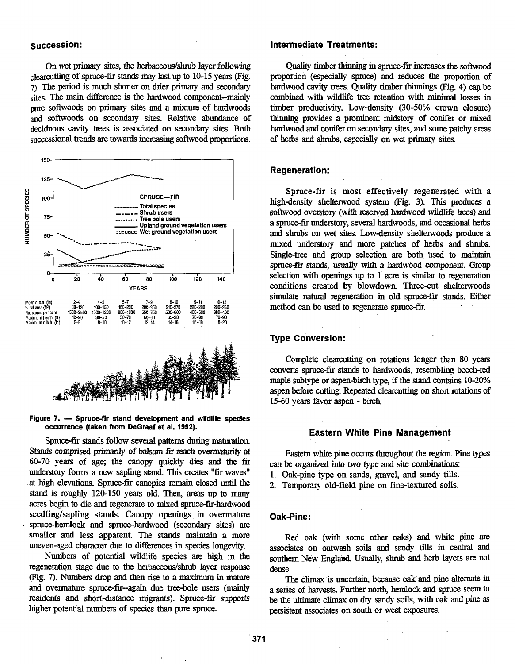On wet primary sites, the herbaceous/shrub layer following clearcutting of spruce-fir stands may last up to 10-15 years (Fig. **7).** The period is much shorter on drier primary and secondary sites. The main difference is the hardwood component--mainly pure softwoods on primary sites **and** a mixture of hardwoods and softwoods on secondary sites. Relative abundance of deciduous cavity trees is associated on secondary sites. Both successional trends are towards increasing softwood proportions.





Spruce-fir stands follow several patterns during maturation **Stands** comprised primarily of balsam fir reach overmaturity at 60-70 years of age; the canopy quickly dies and the fir understory forms a new sapling stand. This creates "fir waves" at high elevations. Spruce-fir canopies remain closed until the stand is roughly 120-150 years old. Then, areas up to many acres begin to die **and** regenerate to **mixed** spruce-fir-hardwood seedling/sapling stands. Canopy openings in overmature spruce-hemlock and spruce-hardwood (secondary sites) **are**  smaIler and less apparent. The stands maintain a more uneven-aged character due to differences in species longevity.

Numbers of potential wildlife species **are** high in **the**  regeneration stage due to the herbaceous/shrub layer response (Fig. 7). Numbers drop and then rise to a maximum in mature and overmature spruce-fir-again due tree-bole users (mainly residents and short-distance migrants). Spruce-fir supports higher potential numbers of species than pure spruce.

# **succession: Intermediate Treatments:**

Quality timber thinning in spmce-fir increases the softwood proportion (especially spruce) and reduces **the** proportion of hardwood cavity trees. Quality timber thinnings (Fig. 4) can be combined with wildlife **tree** retention with **minimal** losses in timber productivity. Low-density (30-50% crown closure) thinning provides a prominent midstory of conifer or mixed hardwood and conifer on secondary sites, and **some** patchy areas of herbs **and** shrubs, espcially on wet **primary** sites.

#### **Regeneration:**

Spruce-fir is most effectively regenerated with a high-density shelterwood system (Fig. 3). This produces a softwood overstory (with reserved hardwood wildlife trees) and a spruce-fir understory, severaI hardwoods, and occasional hehs and shrubs on wet sites. Lowdensity sheltenvoods produce a mixed understory and more patches of herbs and shrubs. Single-tree and group selection are both used to maintain spruce-fir stands, **usually with** a hardwood component. Group selection **with** openings up to 1 acre is similar to regeneration conditions created by blowdown Three-cut shelterwoods simulate **natural** regeneration in old spruce-fir stands. Either method can be used to regenerate spruce-fir.

# **Type Conversion:**

Complete clearcutting on rotations longer than 80 converts spruce-fir starads to hardwoods, resembling beech-red maple subtype or aspen-birch type, if the **stand** contains 10-20% **aspen** before cutting. Repeated clearcutting on short rotations of 1560 years favor aspen - birch

### **Eastern White Pine Management**

Eastern **white** pine oocurs throughout the region Pine types can be organized into two type and site combinations:

- 1. Oak-pine type on sands, gravel, and sandy tills.
- **2.** Temporary old-field pine on fine-textured soils.

# **Oak-Pine:**

Red oak (with some other oaks) **and** white pine **are**  associates on outwash soils **and** sandy tills in **central** and southern New England. Usually, shrub and herb layers are not dense.

The climax is uncertain, because oak and pine alternate in a series of harvests. Further north, hemlock **and** spruce seem to be the ultimate climax on *dry* sandy soils, **with** oak and pine as persistent associates on south or west exposures.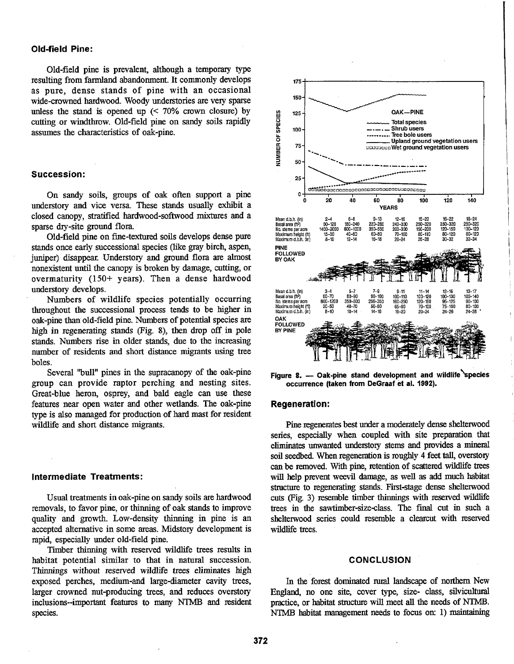### **Old-field Pine:**

Old-field pine is prevalent, although a temporary type resulting from farmland abandonment. It commonly develops as pure, dense stands of pine with an occasional wide-crowned hardwood. Woody understories are very sparse unless the stand is opened up (< **70%** crown closure) by cutting or windthrow. Old-field pine on sandy soils rapidly assumes the characteristics of oak-pine.

#### **Succession:**

On sandy soils, groups of oak often support a pine understory and vice versa. These stands usually exhibit a closed canopy, stratified hardwood-softwood **mixtures** and a sparse dry-site ground flora.

Old-field pine on fine-textured soils develops dense pure stands once early successional species (like gray birch, aspen, juniper) disappear. Understory and ground flora are almost nonexistent until the canopy is broken by damage, cutting, or overmaturity (150+ years). Then a dense hardwood understory develops.

Numbers of wildlife species potentially occurring throughout the successional process tends to be higher in oak-pine **than** old-field pine. Numbers of potential species **are**  high in regenerating stands (Fig. 8), then drop off in pole stands. Numbers rise in older stands, due to the increasing number of residents and short distance **migrants** using tree boles.

Several "bull" pines in the supracanopy of **the** oak-pine group can provide raptor perching and nesting sites. Great-blue heron, osprey, and bald eagle can use these features near open water and other wetlands. The oak-pine type is also managed for production of hard mast for resident wildlife and short distance migrants.

#### **Intermediate Treatments:**

Usual treatments in oak-pine on sandy soils are hardwood removals, to favor pine, or thinning of oak stands to improve quality and growth. Low-density thinning in pine is an accepted alternative in some areas. Midstory development is rapid, especially under old-field pine.

Timber thinning with reserved wildlife trees results in habitat potential similar to that in natural succession. Thinnings without reserved wildlife trees eliminates high exposed perches, medium-and large-diameter cavity trees, larger crowned nut-producing trees, and reduces overstory inclusions--important features to inany **NTMB** and resident species.



Figure 8. - Oak-pine stand development and wildlife species **occurrence (taken from DeGraaf et al. 1992).** 

# **Regeneration:**

**Pine** regenerates best under a moderately **dense** shelterwood series, especially when coupled with site preparation that eliminates unwanted understory stems and provides a mineral soil seedbed. When regeneration is roughly 4 feet tall, overstory can be removed. With pine, retention of scattered wildlife trees will help prevent weevil damage, **as** well **as** add much habitat structure to regenerating stands. First-stage dense shelterwood cuts (Fig. 3) resemble timber thinnings with reserved wildlife trees in the sawtimber-sizeclass. The **final** cut in such a shelterwood series could resemble a clearcut with reserved wildlife trees.

#### **CONCLUSION**

In **the** forest dominated rural landscape of northern New England, no one site, cover type, size- class, silvicultural practice, or habitat structure will meet all the needs of **NTMB. NTMB** habitat management needs to focus on: 1) maintaining